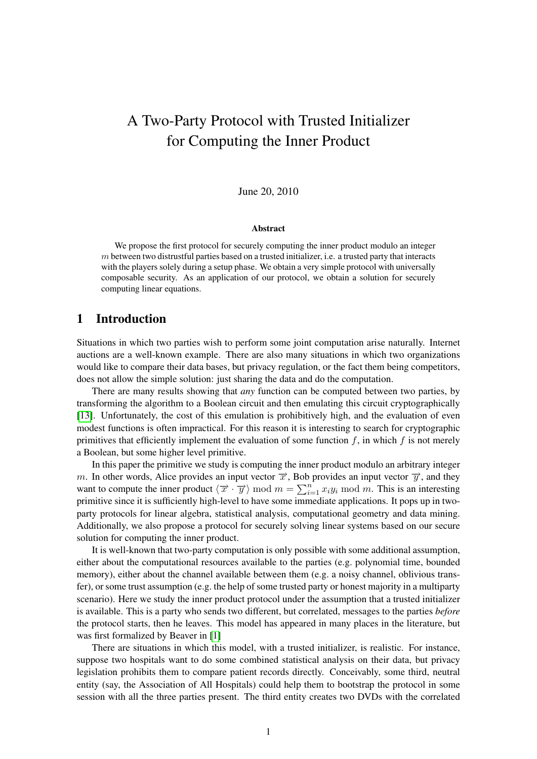# A Two-Party Protocol with Trusted Initializer for Computing the Inner Product

#### June 20, 2010

#### Abstract

We propose the first protocol for securely computing the inner product modulo an integer  $m$  between two distrustful parties based on a trusted initializer, i.e. a trusted party that interacts with the players solely during a setup phase. We obtain a very simple protocol with universally composable security. As an application of our protocol, we obtain a solution for securely computing linear equations.

## 1 Introduction

Situations in which two parties wish to perform some joint computation arise naturally. Internet auctions are a well-known example. There are also many situations in which two organizations would like to compare their data bases, but privacy regulation, or the fact them being competitors, does not allow the simple solution: just sharing the data and do the computation.

There are many results showing that *any* function can be computed between two parties, by transforming the algorithm to a Boolean circuit and then emulating this circuit cryptographically [\[13\]](#page-12-0). Unfortunately, the cost of this emulation is prohibitively high, and the evaluation of even modest functions is often impractical. For this reason it is interesting to search for cryptographic primitives that efficiently implement the evaluation of some function  $f$ , in which  $f$  is not merely a Boolean, but some higher level primitive.

In this paper the primitive we study is computing the inner product modulo an arbitrary integer m. In other words, Alice provides an input vector  $\vec{x}$ , Bob provides an input vector  $\vec{y}$ , and they want to compute the inner product  $\langle \vec{x} \cdot \vec{y} \rangle$  mod  $m = \sum_{i=1}^{n} x_i y_i$  mod m. This is an interesting primitive since it is sufficiently high-level to have some immediate applications. It pops up in twoparty protocols for linear algebra, statistical analysis, computational geometry and data mining. Additionally, we also propose a protocol for securely solving linear systems based on our secure solution for computing the inner product.

It is well-known that two-party computation is only possible with some additional assumption, either about the computational resources available to the parties (e.g. polynomial time, bounded memory), either about the channel available between them (e.g. a noisy channel, oblivious transfer), or some trust assumption (e.g. the help of some trusted party or honest majority in a multiparty scenario). Here we study the inner product protocol under the assumption that a trusted initializer is available. This is a party who sends two different, but correlated, messages to the parties *before* the protocol starts, then he leaves. This model has appeared in many places in the literature, but was first formalized by Beaver in [\[1\]](#page-11-0)

There are situations in which this model, with a trusted initializer, is realistic. For instance, suppose two hospitals want to do some combined statistical analysis on their data, but privacy legislation prohibits them to compare patient records directly. Conceivably, some third, neutral entity (say, the Association of All Hospitals) could help them to bootstrap the protocol in some session with all the three parties present. The third entity creates two DVDs with the correlated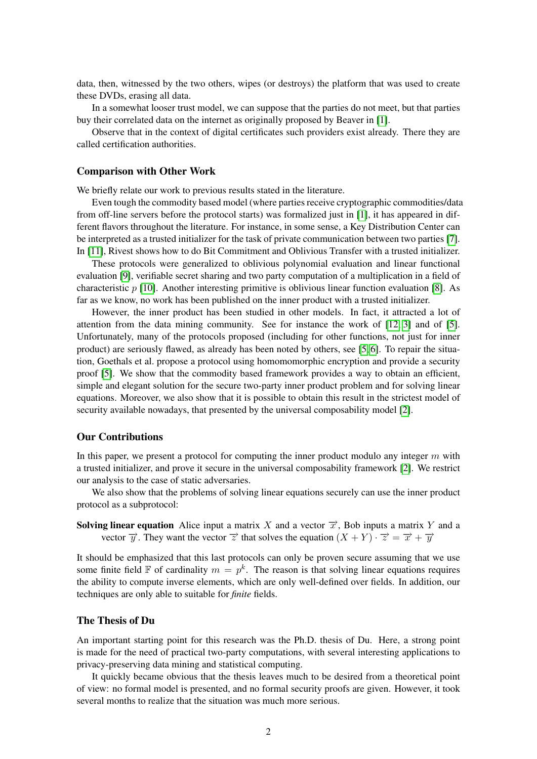data, then, witnessed by the two others, wipes (or destroys) the platform that was used to create these DVDs, erasing all data.

In a somewhat looser trust model, we can suppose that the parties do not meet, but that parties buy their correlated data on the internet as originally proposed by Beaver in [\[1\]](#page-11-0).

Observe that in the context of digital certificates such providers exist already. There they are called certification authorities.

#### Comparison with Other Work

We briefly relate our work to previous results stated in the literature.

Even tough the commodity based model (where parties receive cryptographic commodities/data from off-line servers before the protocol starts) was formalized just in [\[1\]](#page-11-0), it has appeared in different flavors throughout the literature. For instance, in some sense, a Key Distribution Center can be interpreted as a trusted initializer for the task of private communication between two parties [\[7\]](#page-11-1). In [\[11\]](#page-11-2), Rivest shows how to do Bit Commitment and Oblivious Transfer with a trusted initializer.

These protocols were generalized to oblivious polynomial evaluation and linear functional evaluation [\[9\]](#page-11-3), verifiable secret sharing and two party computation of a multiplication in a field of characteristic  $p$  [\[10\]](#page-11-4). Another interesting primitive is oblivious linear function evaluation [\[8\]](#page-11-5). As far as we know, no work has been published on the inner product with a trusted initializer.

However, the inner product has been studied in other models. In fact, it attracted a lot of attention from the data mining community. See for instance the work of [\[12,](#page-11-6) [3\]](#page-11-7) and of [\[5\]](#page-11-8). Unfortunately, many of the protocols proposed (including for other functions, not just for inner product) are seriously flawed, as already has been noted by others, see [\[5,](#page-11-8) [6\]](#page-11-9). To repair the situation, Goethals et al. propose a protocol using homomomorphic encryption and provide a security proof [\[5\]](#page-11-8). We show that the commodity based framework provides a way to obtain an efficient, simple and elegant solution for the secure two-party inner product problem and for solving linear equations. Moreover, we also show that it is possible to obtain this result in the strictest model of security available nowadays, that presented by the universal composability model [\[2\]](#page-11-10).

#### Our Contributions

In this paper, we present a protocol for computing the inner product modulo any integer  $m$  with a trusted initializer, and prove it secure in the universal composability framework [\[2\]](#page-11-10). We restrict our analysis to the case of static adversaries.

We also show that the problems of solving linear equations securely can use the inner product protocol as a subprotocol:

Solving linear equation Alice input a matrix X and a vector  $\vec{x}$ , Bob inputs a matrix Y and a vector  $\overrightarrow{y}$ . They want the vector  $\overrightarrow{z}$  that solves the equation  $(X + Y) \cdot \overrightarrow{z} = \overrightarrow{x} + \overrightarrow{y}$ 

It should be emphasized that this last protocols can only be proven secure assuming that we use some finite field  $\mathbb F$  of cardinality  $m = p^k$ . The reason is that solving linear equations requires the ability to compute inverse elements, which are only well-defined over fields. In addition, our techniques are only able to suitable for *finite* fields.

#### The Thesis of Du

An important starting point for this research was the Ph.D. thesis of Du. Here, a strong point is made for the need of practical two-party computations, with several interesting applications to privacy-preserving data mining and statistical computing.

It quickly became obvious that the thesis leaves much to be desired from a theoretical point of view: no formal model is presented, and no formal security proofs are given. However, it took several months to realize that the situation was much more serious.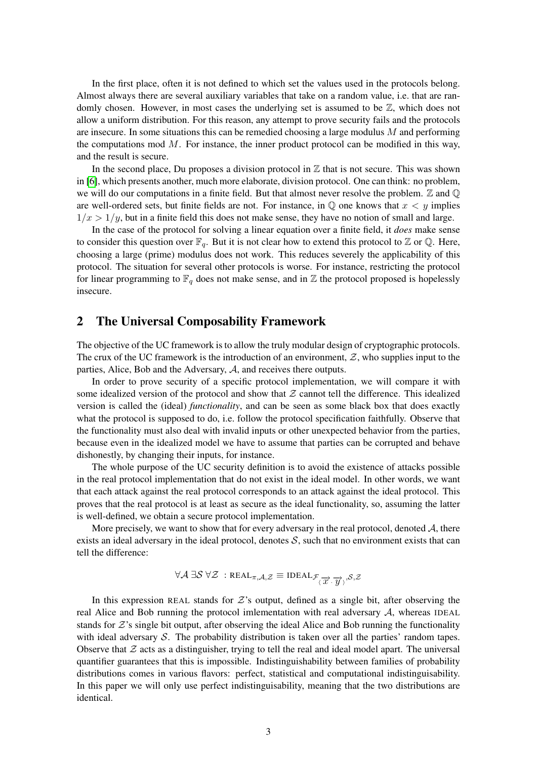In the first place, often it is not defined to which set the values used in the protocols belong. Almost always there are several auxiliary variables that take on a random value, i.e. that are randomly chosen. However, in most cases the underlying set is assumed to be  $\mathbb{Z}$ , which does not allow a uniform distribution. For this reason, any attempt to prove security fails and the protocols are insecure. In some situations this can be remedied choosing a large modulus  $M$  and performing the computations mod  $M$ . For instance, the inner product protocol can be modified in this way, and the result is secure.

In the second place, Du proposes a division protocol in  $\mathbb Z$  that is not secure. This was shown in [\[6\]](#page-11-9), which presents another, much more elaborate, division protocol. One can think: no problem, we will do our computations in a finite field. But that almost never resolve the problem.  $\mathbb Z$  and  $\mathbb Q$ are well-ordered sets, but finite fields are not. For instance, in  $\mathbb Q$  one knows that  $x < y$  implies  $1/x > 1/y$ , but in a finite field this does not make sense, they have no notion of small and large.

In the case of the protocol for solving a linear equation over a finite field, it *does* make sense to consider this question over  $\mathbb{F}_q$ . But it is not clear how to extend this protocol to  $\mathbb Z$  or  $\mathbb Q$ . Here, choosing a large (prime) modulus does not work. This reduces severely the applicability of this protocol. The situation for several other protocols is worse. For instance, restricting the protocol for linear programming to  $\mathbb{F}_q$  does not make sense, and in  $\mathbb Z$  the protocol proposed is hopelessly insecure.

## 2 The Universal Composability Framework

The objective of the UC framework is to allow the truly modular design of cryptographic protocols. The crux of the UC framework is the introduction of an environment,  $\mathcal{Z}$ , who supplies input to the parties, Alice, Bob and the Adversary, A, and receives there outputs.

In order to prove security of a specific protocol implementation, we will compare it with some idealized version of the protocol and show that  $Z$  cannot tell the difference. This idealized version is called the (ideal) *functionality*, and can be seen as some black box that does exactly what the protocol is supposed to do, i.e. follow the protocol specification faithfully. Observe that the functionality must also deal with invalid inputs or other unexpected behavior from the parties, because even in the idealized model we have to assume that parties can be corrupted and behave dishonestly, by changing their inputs, for instance.

The whole purpose of the UC security definition is to avoid the existence of attacks possible in the real protocol implementation that do not exist in the ideal model. In other words, we want that each attack against the real protocol corresponds to an attack against the ideal protocol. This proves that the real protocol is at least as secure as the ideal functionality, so, assuming the latter is well-defined, we obtain a secure protocol implementation.

More precisely, we want to show that for every adversary in the real protocol, denoted  $A$ , there exists an ideal adversary in the ideal protocol, denotes  $S$ , such that no environment exists that can tell the difference:

$$
\forall \mathcal{A} \: \exists \mathcal{S} \: \forall \mathcal{Z} \: : \mathsf{REAL}_{\pi,\mathcal{A},\mathcal{Z}} \equiv \mathsf{IDEAL}_{\mathcal{F}_{\langle \overrightarrow{\mathcal{X}}, \overrightarrow{\mathcal{Y}} \rangle},\mathcal{S},\mathcal{Z}}
$$

In this expression REAL stands for  $\mathcal{Z}$ 's output, defined as a single bit, after observing the real Alice and Bob running the protocol imlementation with real adversary  $A$ , whereas IDEAL stands for  $Z$ 's single bit output, after observing the ideal Alice and Bob running the functionality with ideal adversary  $S$ . The probability distribution is taken over all the parties' random tapes. Observe that  $\mathcal Z$  acts as a distinguisher, trying to tell the real and ideal model apart. The universal quantifier guarantees that this is impossible. Indistinguishability between families of probability distributions comes in various flavors: perfect, statistical and computational indistinguisability. In this paper we will only use perfect indistinguisability, meaning that the two distributions are identical.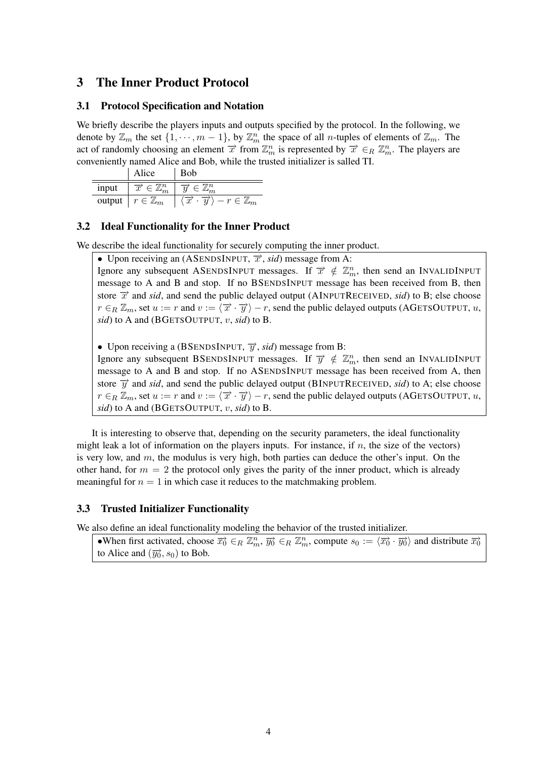## 3 The Inner Product Protocol

## 3.1 Protocol Specification and Notation

We briefly describe the players inputs and outputs specified by the protocol. In the following, we denote by  $\mathbb{Z}_m$  the set  $\{1, \dots, m-1\}$ , by  $\mathbb{Z}_m^n$  the space of all *n*-tuples of elements of  $\mathbb{Z}_m$ . The act of randomly choosing an element  $\vec{x}$  from  $\mathbb{Z}_m^n$  is represented by  $\vec{x} \in_R \mathbb{Z}_m^n$ . The players are conveniently named Alice and Bob, while the trusted initializer is salled TI.

|        | Alice                                    | Bob                      |  |
|--------|------------------------------------------|--------------------------|--|
| input  | $\subset \mathbb{Z}^n$<br>$\overline{x}$ |                          |  |
| output | $r \in \mathbb{Z}_m$                     | $-r\in\mathbb{Z}_m$<br>x |  |

## 3.2 Ideal Functionality for the Inner Product

We describe the ideal functionality for securely computing the inner product.

• Upon receiving an (ASENDSINPUT,  $\vec{x}$ , *sid*) message from A:

Ignore any subsequent ASENDSINPUT messages. If  $\vec{x} \notin \mathbb{Z}_m^n$ , then send an INVALIDINPUT message to A and B and stop. If no BSENDSINPUT message has been received from B, then store  $\vec{x}$  and *sid*, and send the public delayed output (AINPUTRECEIVED, *sid*) to B; else choose  $r \in_R \mathbb{Z}_m$ , set  $u := r$  and  $v := \langle \overrightarrow{x} \cdot \overrightarrow{y} \rangle - r$ , send the public delayed outputs (AGETSOUTPUT, u, *sid*) to A and (BGETSOUTPUT, v, *sid*) to B.

• Upon receiving a (BSENDSINPUT,  $\overrightarrow{y}$ , *sid*) message from B:

Ignore any subsequent BSENDSINPUT messages. If  $\overrightarrow{y} \notin \mathbb{Z}_m^n$ , then send an INVALIDINPUT message to A and B and stop. If no ASENDSINPUT message has been received from A, then store  $\vec{y}$  and *sid*, and send the public delayed output (BINPUTRECEIVED, *sid*) to A; else choose  $r \in_R \mathbb{Z}_m$ , set  $u := r$  and  $v := \langle \overrightarrow{x} \cdot \overrightarrow{y} \rangle - r$ , send the public delayed outputs (AGETSOUTPUT, u, *sid*) to A and (BGETSOUTPUT, v, *sid*) to B.

It is interesting to observe that, depending on the security parameters, the ideal functionality might leak a lot of information on the players inputs. For instance, if  $n$ , the size of the vectors) is very low, and  $m$ , the modulus is very high, both parties can deduce the other's input. On the other hand, for  $m = 2$  the protocol only gives the parity of the inner product, which is already meaningful for  $n = 1$  in which case it reduces to the matchmaking problem.

### 3.3 Trusted Initializer Functionality

We also define an ideal functionality modeling the behavior of the trusted initializer.

•When first activated, choose  $\overrightarrow{x_0} \in_R \mathbb{Z}_m^n$ ,  $\overrightarrow{y_0} \in_R \mathbb{Z}_m^n$ , compute  $s_0 := \langle \overrightarrow{x_0} \cdot \overrightarrow{y_0} \rangle$  and distribute  $\overrightarrow{x_0}$ to Alice and  $(\overrightarrow{y_0}, s_0)$  to Bob.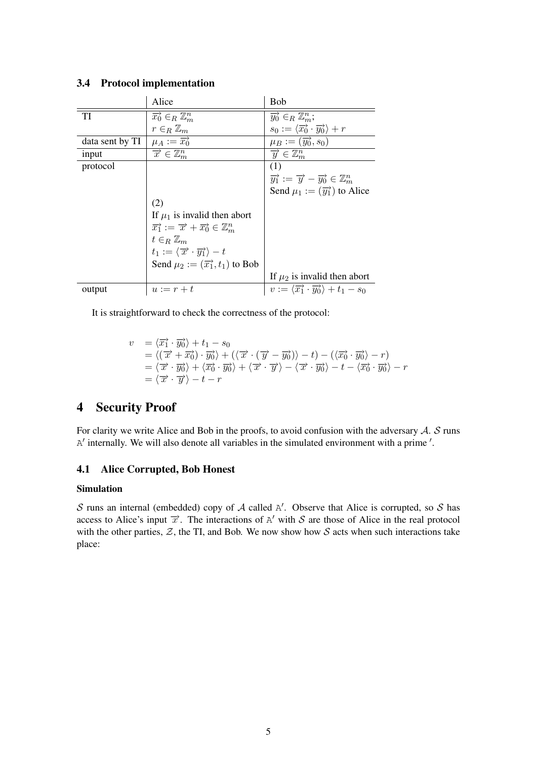|                 | Alice                                                                                  | <b>Bob</b>                                                                             |
|-----------------|----------------------------------------------------------------------------------------|----------------------------------------------------------------------------------------|
| TI              | $\overrightarrow{x_0} \in_R \mathbb{Z}_m^n$                                            | $\overrightarrow{y_0} \in_R \mathbb{Z}_m^n$ ;                                          |
|                 | $r \in_R \mathbb{Z}_m$                                                                 | $s_0 := \langle \overrightarrow{x_0} \cdot \overrightarrow{y_0} \rangle + r$           |
| data sent by TI | $\mu_A := \overrightarrow{x_0}$                                                        | $\mu_B := (\overrightarrow{y_0}, s_0)$                                                 |
| input           | $\overrightarrow{x} \in \mathbb{Z}_m^n$                                                | $\overrightarrow{y} \in \mathbb{Z}_m^n$                                                |
| protocol        |                                                                                        | (1)                                                                                    |
|                 |                                                                                        | $\overrightarrow{y_1} := \overrightarrow{y} - \overrightarrow{y_0} \in \mathbb{Z}_m^n$ |
|                 |                                                                                        | Send $\mu_1 := (\overrightarrow{y_1})$ to Alice                                        |
|                 | (2)                                                                                    |                                                                                        |
|                 | If $\mu_1$ is invalid then abort                                                       |                                                                                        |
|                 | $\overrightarrow{x_1} := \overrightarrow{x} + \overrightarrow{x_0} \in \mathbb{Z}_m^n$ |                                                                                        |
|                 | $t \in_R \mathbb{Z}_m$                                                                 |                                                                                        |
|                 | $t_1 := \langle \overrightarrow{x} \cdot \overrightarrow{y_1} \rangle - t$             |                                                                                        |
|                 | Send $\mu_2 := (\overrightarrow{x_1}, t_1)$ to Bob                                     |                                                                                        |
|                 |                                                                                        | If $\mu_2$ is invalid then abort                                                       |
| output          | $u := r + t$                                                                           | $v := \langle \overrightarrow{x_1} \cdot \overrightarrow{y_0} \rangle + t_1 - s_0$     |

## 3.4 Protocol implementation

It is straightforward to check the correctness of the protocol:

$$
v = \langle \overrightarrow{x_1} \cdot \overrightarrow{y_0} \rangle + t_1 - s_0
$$
  
\n
$$
= \langle (\overrightarrow{x} + \overrightarrow{x_0}) \cdot \overrightarrow{y_0} \rangle + (\langle \overrightarrow{x} \cdot (\overrightarrow{y} - \overrightarrow{y_0}) \rangle - t) - (\langle \overrightarrow{x_0} \cdot \overrightarrow{y_0} \rangle - r)
$$
  
\n
$$
= \langle \overrightarrow{x} \cdot \overrightarrow{y_0} \rangle + \langle \overrightarrow{x_0} \cdot \overrightarrow{y_0} \rangle + \langle \overrightarrow{x} \cdot \overrightarrow{y} \rangle - \langle \overrightarrow{x} \cdot \overrightarrow{y_0} \rangle - t - \langle \overrightarrow{x_0} \cdot \overrightarrow{y_0} \rangle - r
$$
  
\n
$$
= \langle \overrightarrow{x} \cdot \overrightarrow{y} \rangle - t - r
$$

## 4 Security Proof

For clarity we write Alice and Bob in the proofs, to avoid confusion with the adversary  $A$ .  $S$  runs  $A'$  internally. We will also denote all variables in the simulated environment with a prime '.

## 4.1 Alice Corrupted, Bob Honest

#### Simulation

S runs an internal (embedded) copy of A called  $A'$ . Observe that Alice is corrupted, so S has access to Alice's input  $\vec{x}$ . The interactions of A' with S are those of Alice in the real protocol with the other parties,  $\mathcal{Z}$ , the TI, and Bob. We now show how  $\mathcal{S}$  acts when such interactions take place: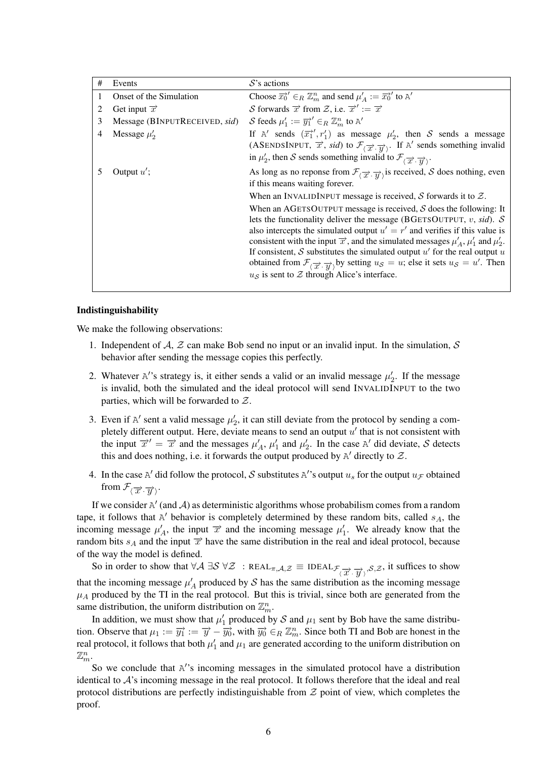| # | Events                        | $S$ 's actions                                                                                                                                                                                                                                                                                                                                                                                                                                                                                                                                                                                                                                            |
|---|-------------------------------|-----------------------------------------------------------------------------------------------------------------------------------------------------------------------------------------------------------------------------------------------------------------------------------------------------------------------------------------------------------------------------------------------------------------------------------------------------------------------------------------------------------------------------------------------------------------------------------------------------------------------------------------------------------|
| 1 | Onset of the Simulation       | Choose $\overrightarrow{x_0}$ $\in_R \mathbb{Z}_m^n$ and send $\mu'_A := \overrightarrow{x_0}$ to A'                                                                                                                                                                                                                                                                                                                                                                                                                                                                                                                                                      |
|   | Get input $\vec{x}$           | S forwards $\vec{x}$ from Z, i.e. $\vec{x}' := \vec{x}$                                                                                                                                                                                                                                                                                                                                                                                                                                                                                                                                                                                                   |
| 3 | Message (BINPUTRECEIVED, sid) | S feeds $\mu'_1 := \overrightarrow{y_1}' \in_R \mathbb{Z}_m^n$ to A'                                                                                                                                                                                                                                                                                                                                                                                                                                                                                                                                                                                      |
| 4 | Message $\mu'_2$              | If A' sends $(\overline{x_1}^{\prime}, r_1^{\prime})$ as message $\mu_2^{\prime}$ , then S sends a message<br>(ASENDSINPUT, $\vec{x}$ , sid) to $\mathcal{F}_{(\vec{x}, \vec{y})}$ . If A' sends something invalid                                                                                                                                                                                                                                                                                                                                                                                                                                        |
|   |                               | in $\mu'_2$ , then S sends something invalid to $\mathcal{F}_{(\overrightarrow{x}, \overrightarrow{y})}$ .                                                                                                                                                                                                                                                                                                                                                                                                                                                                                                                                                |
| 5 | Output $u'$ ;                 | As long as no reponse from $\mathcal{F}_{(\overrightarrow{x}, \overrightarrow{y})}$ is received, S does nothing, even<br>if this means waiting forever.                                                                                                                                                                                                                                                                                                                                                                                                                                                                                                   |
|   |                               | When an INVALIDINPUT message is received, $S$ forwards it to $Z$ .                                                                                                                                                                                                                                                                                                                                                                                                                                                                                                                                                                                        |
|   |                               | When an AGETSOUTPUT message is received, $S$ does the following: It<br>lets the functionality deliver the message (BGETSOUTPUT, v, sid). $S$<br>also intercepts the simulated output $u' = r'$ and verifies if this value is<br>consistent with the input $\vec{x}$ , and the simulated messages $\mu'_{A}$ , $\mu'_{1}$ and $\mu'_{2}$ .<br>If consistent, S substitutes the simulated output $u'$ for the real output u<br>obtained from $\mathcal{F}_{(\overrightarrow{x}, \overrightarrow{y})}$ by setting $u_{\mathcal{S}} = u$ ; else it sets $u_{\mathcal{S}} = u'$ . Then<br>$u_{\mathcal{S}}$ is sent to $\mathcal Z$ through Alice's interface. |

#### Indistinguishability

We make the following observations:

- 1. Independent of A, Z can make Bob send no input or an invalid input. In the simulation, S behavior after sending the message copies this perfectly.
- 2. Whatever A''s strategy is, it either sends a valid or an invalid message  $\mu'_2$ . If the message is invalid, both the simulated and the ideal protocol will send INVALIDINPUT to the two parties, which will be forwarded to  $Z$ .
- 3. Even if  $A'$  sent a valid message  $\mu'_2$ , it can still deviate from the protocol by sending a completely different output. Here, deviate means to send an output  $u'$  that is not consistent with the input  $\vec{x}' = \vec{x}$  and the messages  $\mu'_A$ ,  $\mu'_1$  and  $\mu'_2$ . In the case A' did deviate, S detects this and does nothing, i.e. it forwards the output produced by  $A'$  directly to  $Z$ .
- 4. In the case A' did follow the protocol, S substitutes A''s output  $u_s$  for the output  $u_{\mathcal{F}}$  obtained from  $\mathcal{F}_{\langle \overrightarrow{x} \cdot \overrightarrow{y} \rangle}$ .

If we consider  $A'$  (and A) as deterministic algorithms whose probabilism comes from a random tape, it follows that  $A'$  behavior is completely determined by these random bits, called  $s_A$ , the incoming message  $\mu'_A$ , the input  $\vec{x}$  and the incoming message  $\mu'_1$ . We already know that the random bits  $s_A$  and the input  $\vec{x}$  have the same distribution in the real and ideal protocol, because of the way the model is defined.

So in order to show that  $\forall A \exists S \forall \mathcal{Z} : \text{REAL}_{\pi,\mathcal{A},\mathcal{Z}} \equiv \text{IDEAL}_{\mathcal{F}_{\langle \overrightarrow{\mathcal{X}}, \overrightarrow{\mathcal{Y}} \rangle},\mathcal{S},\mathcal{Z}}$ , it suffices to show that the incoming message  $\mu'_A$  produced by S has the same distribution as the incoming message  $\mu_A$  produced by the TI in the real protocol. But this is trivial, since both are generated from the same distribution, the uniform distribution on  $\mathbb{Z}_m^n$ .

In addition, we must show that  $\mu'_1$  produced by S and  $\mu_1$  sent by Bob have the same distribution. Observe that  $\mu_1 := \overrightarrow{y_1} := \overrightarrow{y} - \overrightarrow{y_0}$ , with  $\overrightarrow{y_0} \in_R \mathbb{Z}_m^n$ . Since both TI and Bob are honest in the real protocol, it follows that both  $\mu'_1$  and  $\mu_1$  are generated according to the uniform distribution on  $\mathbb{Z}_m^n$ .

So we conclude that A''s incoming messages in the simulated protocol have a distribution identical to  $A$ 's incoming message in the real protocol. It follows therefore that the ideal and real protocol distributions are perfectly indistinguishable from  $Z$  point of view, which completes the proof.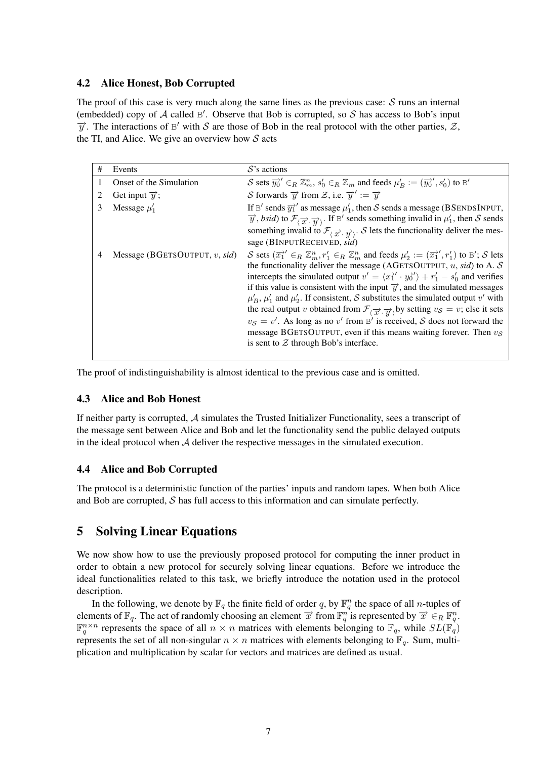## 4.2 Alice Honest, Bob Corrupted

The proof of this case is very much along the same lines as the previous case:  $S$  runs an internal (embedded) copy of  $A$  called  $B'$ . Observe that Bob is corrupted, so  $S$  has access to Bob's input  $\overrightarrow{y}$ . The interactions of B' with S are those of Bob in the real protocol with the other parties,  $\overrightarrow{z}$ , the TI, and Alice. We give an overview how  $S$  acts

| #              | Events                           | $S$ 's actions                                                                                                                                                                                                                                                                                                                                                                                                                                                                                                                                                                                                                                                                                                                                                                                                                                                                                 |
|----------------|----------------------------------|------------------------------------------------------------------------------------------------------------------------------------------------------------------------------------------------------------------------------------------------------------------------------------------------------------------------------------------------------------------------------------------------------------------------------------------------------------------------------------------------------------------------------------------------------------------------------------------------------------------------------------------------------------------------------------------------------------------------------------------------------------------------------------------------------------------------------------------------------------------------------------------------|
|                | Onset of the Simulation          | S sets $\overrightarrow{y_0}' \in_R \mathbb{Z}_m^n$ , $s'_0 \in_R \mathbb{Z}_m$ and feeds $\mu'_B := (\overrightarrow{y_0}', s'_0)$ to B'                                                                                                                                                                                                                                                                                                                                                                                                                                                                                                                                                                                                                                                                                                                                                      |
| 2              | Get input $\overrightarrow{y}$ ; | S forwards $\overrightarrow{y}$ from Z, i.e. $\overrightarrow{y}' := \overrightarrow{y}$                                                                                                                                                                                                                                                                                                                                                                                                                                                                                                                                                                                                                                                                                                                                                                                                       |
| 3              | Message $\mu'_1$                 | If B' sends $\overline{y_1}$ ' as message $\mu'_1$ , then S sends a message (BSENDSINPUT,<br>$\overrightarrow{y}$ , <i>bsid</i> ) to $\mathcal{F}_{(\overrightarrow{x}, \overrightarrow{y})}$ . If B' sends something invalid in $\mu'_1$ , then S sends<br>something invalid to $\mathcal{F}_{\langle \overrightarrow{x}, \overrightarrow{v} \rangle}$ . S lets the functionality deliver the mes-<br>sage (BINPUTRECEIVED, sid)                                                                                                                                                                                                                                                                                                                                                                                                                                                              |
| $\overline{4}$ | Message (BGETSOUTPUT, $v$ , sid) | S sets $(\overline{x_1})' \in_R \mathbb{Z}_m^n$ , $r_1' \in_R \mathbb{Z}_m^n$ and feeds $\mu_2' := (\overline{x_1}')'$ , $r_1'$ to B'; S lets<br>the functionality deliver the message (AGETSOUTPUT, $u$ , sid) to A. S<br>intercepts the simulated output $v' = \langle \overrightarrow{x_1}' \cdot \overrightarrow{y_0}' \rangle + r'_1 - s'_0$ and verifies<br>if this value is consistent with the input $\vec{y}$ , and the simulated messages<br>$\mu'_B$ , $\mu'_1$ and $\mu'_2$ . If consistent, S substitutes the simulated output v' with<br>the real output v obtained from $\mathcal{F}_{(\overrightarrow{x}, \overrightarrow{y})}$ by setting $v_{\mathcal{S}} = v$ ; else it sets<br>$v_S = v'$ . As long as no v' from B' is received, S does not forward the<br>message BGETSOUTPUT, even if this means waiting forever. Then $v_s$<br>is sent to $Z$ through Bob's interface. |

The proof of indistinguishability is almost identical to the previous case and is omitted.

### 4.3 Alice and Bob Honest

If neither party is corrupted, A simulates the Trusted Initializer Functionality, sees a transcript of the message sent between Alice and Bob and let the functionality send the public delayed outputs in the ideal protocol when  $A$  deliver the respective messages in the simulated execution.

## 4.4 Alice and Bob Corrupted

The protocol is a deterministic function of the parties' inputs and random tapes. When both Alice and Bob are corrupted,  $S$  has full access to this information and can simulate perfectly.

## 5 Solving Linear Equations

We now show how to use the previously proposed protocol for computing the inner product in order to obtain a new protocol for securely solving linear equations. Before we introduce the ideal functionalities related to this task, we briefly introduce the notation used in the protocol description.

In the following, we denote by  $\mathbb{F}_q$  the finite field of order q, by  $\mathbb{F}_q^n$  the space of all *n*-tuples of elements of  $\mathbb{F}_q$ . The act of randomly choosing an element  $\vec{x}$  from  $\mathbb{F}_q^n$  is represented by  $\vec{x} \in_R \mathbb{F}_q^n$ .  $\mathbb{F}_q^{n \times n}$  represents the space of all  $n \times n$  matrices with elements belonging to  $\mathbb{F}_q$ , while  $SL(\mathbb{F}_q)$ represents the set of all non-singular  $n \times n$  matrices with elements belonging to  $\mathbb{F}_q$ . Sum, multiplication and multiplication by scalar for vectors and matrices are defined as usual.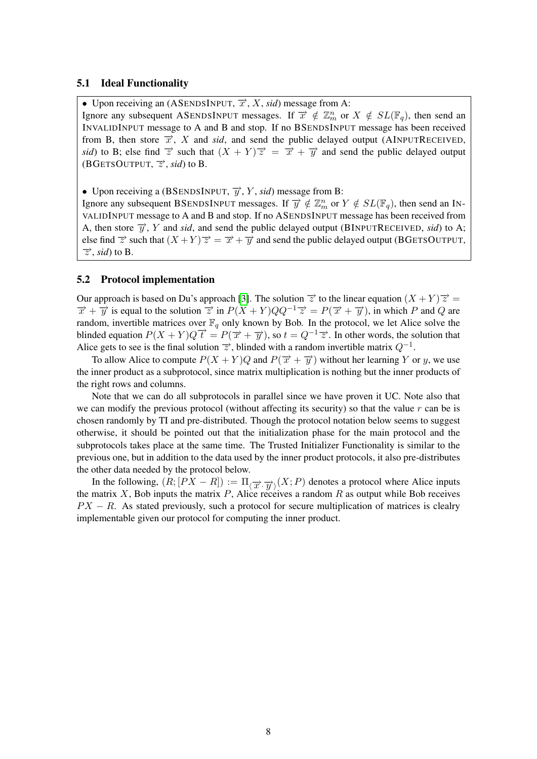#### 5.1 Ideal Functionality

• Upon receiving an (ASENDSINPUT,  $\overrightarrow{x}$ , X, sid) message from A:

Ignore any subsequent ASENDSINPUT messages. If  $\overline{x} \notin \mathbb{Z}_m^n$  or  $X \notin SL(\mathbb{F}_q)$ , then send an INVALIDINPUT message to A and B and stop. If no BSENDSINPUT message has been received from B, then store  $\vec{x}$ , X and *sid*, and send the public delayed output (AINPUTRECEIVED, *sid*) to B; else find  $\vec{z}$  such that  $(X + Y)\vec{z} = \vec{x} + \vec{y}$  and send the public delayed output (BGETSOUTPUT,  $\vec{z}$ , *sid*) to B.

• Upon receiving a (BSENDSINPUT,  $\overrightarrow{y}$ , Y, sid) message from B:

Ignore any subsequent BSENDSINPUT messages. If  $\overrightarrow{y} \notin \mathbb{Z}_m^n$  or  $Y \notin SL(\mathbb{F}_q)$ , then send an IN-VALIDINPUT message to A and B and stop. If no ASENDSINPUT message has been received from A, then store  $\overrightarrow{y}$ , Y and *sid*, and send the public delayed output (BINPUTRECEIVED, *sid*) to A; else find  $\vec{z}$  such that  $(X + Y)\vec{z} = \vec{x} + \vec{y}$  and send the public delayed output (BGETSOUTPUT,  $\overrightarrow{z}$ , *sid*) to B.

#### 5.2 Protocol implementation

Our approach is based on Du's approach [\[3\]](#page-11-7). The solution  $\vec{z}$  to the linear equation  $(X + Y)\vec{z} =$  $\vec{x} + \vec{y}$  is equal to the solution  $\vec{z}$  in  $P(X + Y)QQ^{-1}\vec{z} = P(\vec{x} + \vec{y})$ , in which P and Q are random, invertible matrices over  $\mathbb{F}_q$  only known by Bob. In the protocol, we let Alice solve the blinded equation  $P(X + Y)Q\overrightarrow{t} = P(\overrightarrow{x} + \overrightarrow{y})$ , so  $t = Q^{-1}\overrightarrow{z}$ . In other words, the solution that Alice gets to see is the final solution  $\vec{z}$ , blinded with a random invertible matrix  $Q^{-1}$ .

To allow Alice to compute  $P(X + Y)Q$  and  $P(\overrightarrow{x} + \overrightarrow{y})$  without her learning Y or y, we use the inner product as a subprotocol, since matrix multiplication is nothing but the inner products of the right rows and columns.

Note that we can do all subprotocols in parallel since we have proven it UC. Note also that we can modify the previous protocol (without affecting its security) so that the value  $r$  can be is chosen randomly by TI and pre-distributed. Though the protocol notation below seems to suggest otherwise, it should be pointed out that the initialization phase for the main protocol and the subprotocols takes place at the same time. The Trusted Initializer Functionality is similar to the previous one, but in addition to the data used by the inner product protocols, it also pre-distributes the other data needed by the protocol below.

In the following,  $(R; [PX - R]) := \Pi_{\langle \overrightarrow{x}, \overrightarrow{y} \rangle}(X; P)$  denotes a protocol where Alice inputs the matrix X, Bob inputs the matrix P, Alice receives a random R as output while Bob receives  $PX - R$ . As stated previously, such a protocol for secure multiplication of matrices is clealry implementable given our protocol for computing the inner product.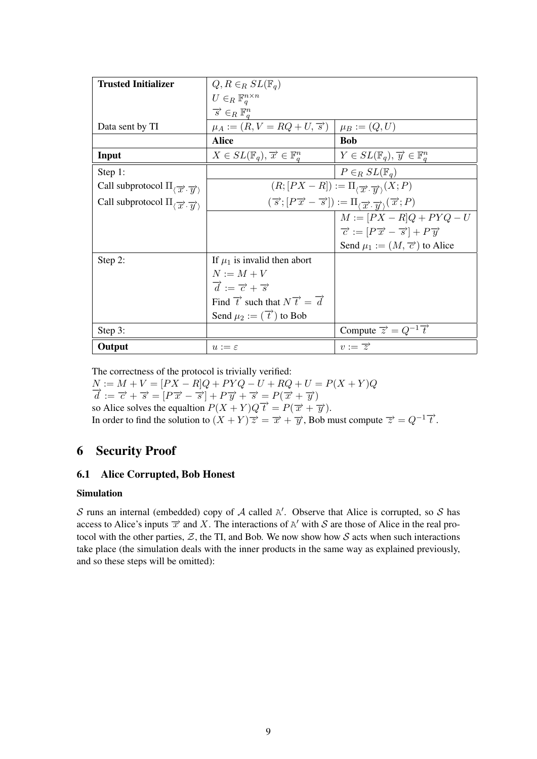| <b>Trusted Initializer</b>                                                      | $Q, R \in_R SL(\mathbb{F}_q)$                                   |                                                                                                                                                           |
|---------------------------------------------------------------------------------|-----------------------------------------------------------------|-----------------------------------------------------------------------------------------------------------------------------------------------------------|
|                                                                                 | $U \in_R \mathbb{F}_q^{n \times n}$                             |                                                                                                                                                           |
|                                                                                 | $\overrightarrow{s} \in_R \mathbb{F}_q^n$                       |                                                                                                                                                           |
| Data sent by TI                                                                 | $\mu_A := (R, V = RQ + U, \vec{s})$                             | $\mu_B := (Q, U)$                                                                                                                                         |
|                                                                                 | <b>Alice</b>                                                    | <b>Bob</b>                                                                                                                                                |
| Input                                                                           | $X \in SL(\mathbb{F}_q), \overrightarrow{x} \in \mathbb{F}_q^n$ | $Y \in SL(\mathbb{F}_q), \overrightarrow{y} \in \mathbb{F}_q^n$                                                                                           |
| Step 1:                                                                         |                                                                 | $P \in_R SL(\mathbb{F}_q)$                                                                                                                                |
| Call subprotocol $\Pi_{\langle \overrightarrow{x}, \overrightarrow{y} \rangle}$ |                                                                 | $(R; [PX - R]) := \Pi_{\langle \overrightarrow{x}, \overrightarrow{w} \rangle}(X; P)$                                                                     |
| Call subprotocol $\Pi_{\langle \overrightarrow{x}, \overrightarrow{u} \rangle}$ |                                                                 | $(\overrightarrow{s}; [P\overrightarrow{x} - \overrightarrow{s}]) := \Pi_{\langle \overrightarrow{x}, \overrightarrow{y} \rangle}(\overrightarrow{x}; P)$ |
|                                                                                 |                                                                 | $M := [PX - R]Q + PYQ - U$                                                                                                                                |
|                                                                                 |                                                                 | $\vec{c} := [P\vec{x} - \vec{s}] + P\vec{y}$                                                                                                              |
|                                                                                 |                                                                 | Send $\mu_1 := (M, \vec{\tau})$ to Alice                                                                                                                  |
| Step 2:                                                                         | If $\mu_1$ is invalid then abort                                |                                                                                                                                                           |
|                                                                                 | $N := M + V$                                                    |                                                                                                                                                           |
|                                                                                 | $\vec{d} := \vec{c} + \vec{s}$                                  |                                                                                                                                                           |
|                                                                                 | Find $\vec{t}$ such that $N\vec{t} = \vec{d}$                   |                                                                                                                                                           |
|                                                                                 | Send $\mu_2 := (\overrightarrow{t})$ to Bob                     |                                                                                                                                                           |
| Step 3:                                                                         |                                                                 | Compute $\vec{z} = Q^{-1} \vec{t}$                                                                                                                        |
| Output                                                                          | $u := \varepsilon$                                              | $v := \overrightarrow{z}$                                                                                                                                 |

The correctness of the protocol is trivially verified:

 $N := M + V = [PX - R]Q + PYQ - U + RQ + U = P(X + Y)Q$ <br>  $\overrightarrow{d} := \overrightarrow{c} + \overrightarrow{s} = [P\overrightarrow{x} - \overrightarrow{s}] + P\overrightarrow{y} + \overrightarrow{s} = P(\overrightarrow{x} + \overrightarrow{y})$ so Alice solves the equaltion  $P(X + Y)Q\overrightarrow{t} = P(\overrightarrow{x} + \overrightarrow{y})$ . In order to find the solution to  $(X + Y) \overrightarrow{z} = \overrightarrow{x} + \overrightarrow{y}$ , Bob must compute  $\overrightarrow{z} = Q^{-1} \overrightarrow{t}$ .

## 6 Security Proof

## 6.1 Alice Corrupted, Bob Honest

### Simulation

S runs an internal (embedded) copy of A called  $A'$ . Observe that Alice is corrupted, so S has access to Alice's inputs  $\vec{x}$  and X. The interactions of A' with S are those of Alice in the real protocol with the other parties,  $Z$ , the TI, and Bob. We now show how  $S$  acts when such interactions take place (the simulation deals with the inner products in the same way as explained previously, and so these steps will be omitted):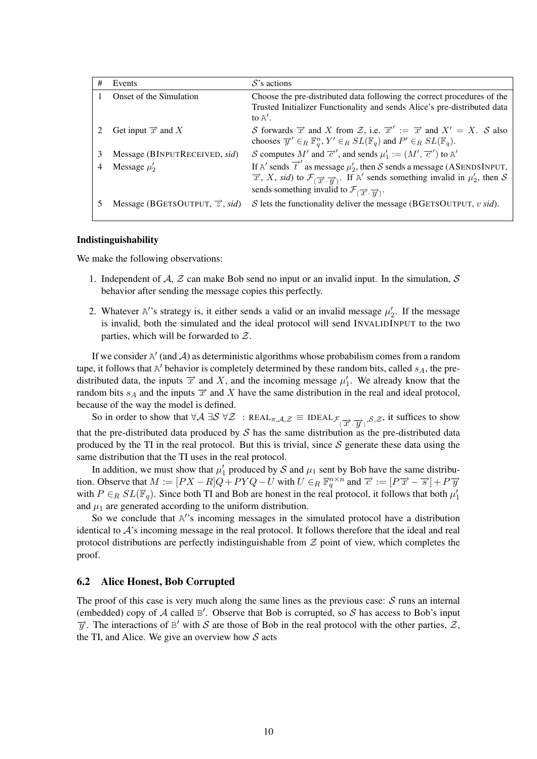| # | Events                                 | $S$ 's actions                                                                                                                                                                                                                                                                                           |
|---|----------------------------------------|----------------------------------------------------------------------------------------------------------------------------------------------------------------------------------------------------------------------------------------------------------------------------------------------------------|
|   | Onset of the Simulation                | Choose the pre-distributed data following the correct procedures of the<br>Trusted Initializer Functionality and sends Alice's pre-distributed data<br>to $A'$ .                                                                                                                                         |
|   | Get input $\overrightarrow{x}$ and X   | S forwards $\vec{x}$ and X from Z, i.e. $\vec{x}' := \vec{x}$ and $X' = X$ . S also<br>chooses $\overrightarrow{y}' \in_R \mathbb{F}_q^n$ , $Y' \in_R SL(\mathbb{F}_q)$ and $P' \in_R SL(\mathbb{F}_q)$ .                                                                                                |
| 3 | Message (BINPUTRECEIVED, sid)          | S computes M' and $\overrightarrow{c}'$ , and sends $\mu'_1 := (M', \overrightarrow{c}')$ to A'                                                                                                                                                                                                          |
| 4 | Message $\mu'_2$                       | If A' sends $\overrightarrow{t}$ ' as message $\mu'_2$ , then S sends a message (ASENDSINPUT,<br>$\vec{x}$ , X, sid) to $\mathcal{F}_{(\vec{x}, \vec{y})}$ . If A' sends something invalid in $\mu'_2$ , then S<br>sends something invalid to $\mathcal{F}_{(\overrightarrow{x}, \overrightarrow{u})}$ . |
|   | Message (BGETSOUTPUT, $\vec{z}$ , sid) | S lets the functionality deliver the message (BGETSOUTPUT, $v \text{ sid}$ ).                                                                                                                                                                                                                            |

#### Indistinguishability

We make the following observations:

- 1. Independent of A, Z can make Bob send no input or an invalid input. In the simulation, S behavior after sending the message copies this perfectly.
- 2. Whatever A''s strategy is, it either sends a valid or an invalid message  $\mu'_2$ . If the message is invalid, both the simulated and the ideal protocol will send INVALIDINPUT to the two parties, which will be forwarded to Z.

If we consider  $A'$  (and A) as deterministic algorithms whose probabilism comes from a random tape, it follows that  $A'$  behavior is completely determined by these random bits, called  $s_A$ , the predistributed data, the inputs  $\vec{x}$  and X, and the incoming message  $\mu'_1$ . We already know that the random bits  $s_A$  and the inputs  $\overrightarrow{x}$  and X have the same distribution in the real and ideal protocol, because of the way the model is defined.

So in order to show that  $\forall A \exists S \forall \mathcal{Z} : \text{REAL}_{\pi,\mathcal{A},\mathcal{Z}} \equiv \text{IDEAL}_{\mathcal{F}_{\langle \overrightarrow{\mathcal{X}}, \overrightarrow{\mathcal{Y}} \rangle},\mathcal{S},\mathcal{Z}}$ , it suffices to show that the pre-distributed data produced by  $S$  has the same distribution as the pre-distributed data produced by the TI in the real protocol. But this is trivial, since  $S$  generate these data using the same distribution that the TI uses in the real protocol.

In addition, we must show that  $\mu'_1$  produced by S and  $\mu_1$  sent by Bob have the same distribution. Observe that  $M := [PX - R]Q + PYQ - U$  with  $U \in_R \mathbb{F}_q^{n \times n}$  and  $\vec{\tau} := [P\vec{x} - \vec{s}] + P\vec{y}$ with  $P \in_R SL(\mathbb{F}_q)$ . Since both TI and Bob are honest in the real protocol, it follows that both  $\mu'_1$ and  $\mu_1$  are generated according to the uniform distribution.

So we conclude that A''s incoming messages in the simulated protocol have a distribution identical to  $A$ 's incoming message in the real protocol. It follows therefore that the ideal and real protocol distributions are perfectly indistinguishable from  $Z$  point of view, which completes the proof.

#### 6.2 Alice Honest, Bob Corrupted

The proof of this case is very much along the same lines as the previous case:  $S$  runs an internal (embedded) copy of  $A$  called  $B'$ . Observe that Bob is corrupted, so  $S$  has access to Bob's input  $\overrightarrow{y}$ . The interactions of B' with S are those of Bob in the real protocol with the other parties,  $\overrightarrow{z}$ , the TI, and Alice. We give an overview how  $S$  acts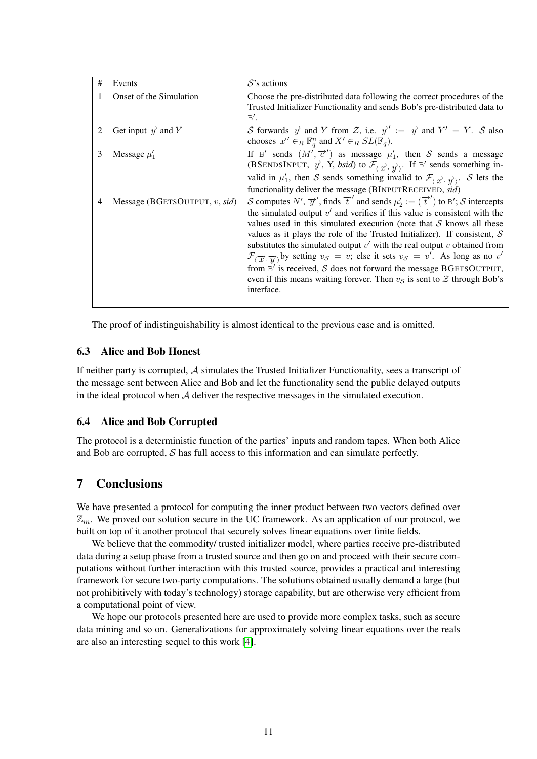| # | Events                               | $S$ 's actions                                                                                                                                                                                                                                                                                                                                                                                                                                                                                                                                                                                                                                                                                                                               |
|---|--------------------------------------|----------------------------------------------------------------------------------------------------------------------------------------------------------------------------------------------------------------------------------------------------------------------------------------------------------------------------------------------------------------------------------------------------------------------------------------------------------------------------------------------------------------------------------------------------------------------------------------------------------------------------------------------------------------------------------------------------------------------------------------------|
| 1 | Onset of the Simulation              | Choose the pre-distributed data following the correct procedures of the<br>Trusted Initializer Functionality and sends Bob's pre-distributed data to<br>B'.                                                                                                                                                                                                                                                                                                                                                                                                                                                                                                                                                                                  |
|   | Get input $\overrightarrow{y}$ and Y | S forwards $\overrightarrow{y}$ and Y from Z, i.e. $\overrightarrow{y}' := \overrightarrow{y}$ and $Y' = Y$ . S also<br>chooses $\overrightarrow{x}' \in_R \mathbb{F}_q^n$ and $X' \in_R SL(\mathbb{F}_q)$ .                                                                                                                                                                                                                                                                                                                                                                                                                                                                                                                                 |
| 3 | Message $\mu'_1$                     | If B' sends $(M', \vec{c}')$ as message $\mu'_1$ , then S sends a message<br>(BSENDSINPUT, $\overrightarrow{y}$ , Y, <i>bsid</i> ) to $\mathcal{F}_{(\overrightarrow{x}, \overrightarrow{y})}$ . If B' sends something in-<br>valid in $\mu'_1$ , then S sends something invalid to $\mathcal{F}_{(\overrightarrow{x}, \overrightarrow{y})}$ . S lets the<br>functionality deliver the message (BINPUTRECEIVED, sid)                                                                                                                                                                                                                                                                                                                         |
| 4 | Message (BGETSOUTPUT, $v$ , sid)     | S computes N', $\overline{y}'$ , finds $\overline{t}'$ and sends $\mu'_2 := (\overline{t}')$ to B'; S intercepts<br>the simulated output $v'$ and verifies if this value is consistent with the<br>values used in this simulated execution (note that $S$ knows all these<br>values as it plays the role of the Trusted Initializer). If consistent, $S$<br>substitutes the simulated output $v'$ with the real output $v$ obtained from<br>$\mathcal{F}_{\langle \overrightarrow{x} \rangle}$ by setting $v_S = v$ ; else it sets $v_S = v'$ . As long as no v'<br>from $B'$ is received, S does not forward the message BGETSOUTPUT,<br>even if this means waiting forever. Then $v_s$ is sent to $\mathcal Z$ through Bob's<br>interface. |

The proof of indistinguishability is almost identical to the previous case and is omitted.

## 6.3 Alice and Bob Honest

If neither party is corrupted, A simulates the Trusted Initializer Functionality, sees a transcript of the message sent between Alice and Bob and let the functionality send the public delayed outputs in the ideal protocol when  $A$  deliver the respective messages in the simulated execution.

### 6.4 Alice and Bob Corrupted

The protocol is a deterministic function of the parties' inputs and random tapes. When both Alice and Bob are corrupted,  $S$  has full access to this information and can simulate perfectly.

## 7 Conclusions

We have presented a protocol for computing the inner product between two vectors defined over  $\mathbb{Z}_m$ . We proved our solution secure in the UC framework. As an application of our protocol, we built on top of it another protocol that securely solves linear equations over finite fields.

We believe that the commodity/ trusted initializer model, where parties receive pre-distributed data during a setup phase from a trusted source and then go on and proceed with their secure computations without further interaction with this trusted source, provides a practical and interesting framework for secure two-party computations. The solutions obtained usually demand a large (but not prohibitively with today's technology) storage capability, but are otherwise very efficient from a computational point of view.

We hope our protocols presented here are used to provide more complex tasks, such as secure data mining and so on. Generalizations for approximately solving linear equations over the reals are also an interesting sequel to this work [\[4\]](#page-11-11).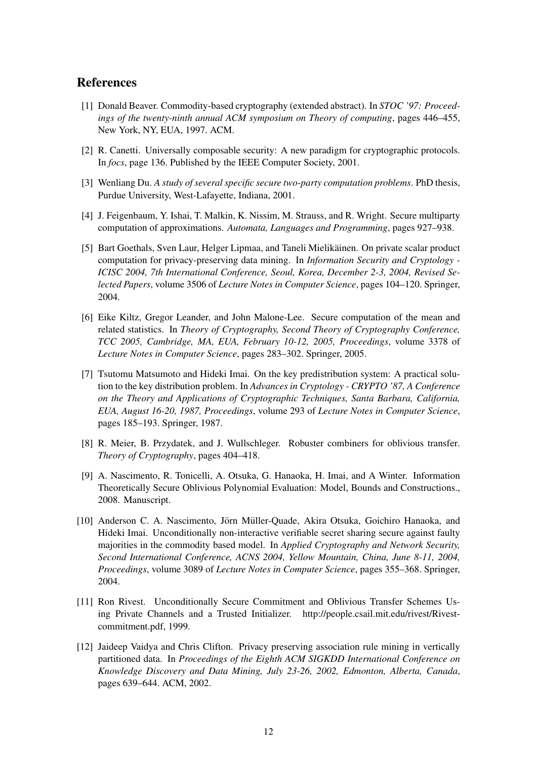## References

- <span id="page-11-0"></span>[1] Donald Beaver. Commodity-based cryptography (extended abstract). In *STOC '97: Proceedings of the twenty-ninth annual ACM symposium on Theory of computing*, pages 446–455, New York, NY, EUA, 1997. ACM.
- <span id="page-11-10"></span>[2] R. Canetti. Universally composable security: A new paradigm for cryptographic protocols. In *focs*, page 136. Published by the IEEE Computer Society, 2001.
- <span id="page-11-7"></span>[3] Wenliang Du. *A study of several specific secure two-party computation problems*. PhD thesis, Purdue University, West-Lafayette, Indiana, 2001.
- <span id="page-11-11"></span>[4] J. Feigenbaum, Y. Ishai, T. Malkin, K. Nissim, M. Strauss, and R. Wright. Secure multiparty computation of approximations. *Automata, Languages and Programming*, pages 927–938.
- <span id="page-11-8"></span>[5] Bart Goethals, Sven Laur, Helger Lipmaa, and Taneli Mielikainen. On private scalar product ¨ computation for privacy-preserving data mining. In *Information Security and Cryptology - ICISC 2004, 7th International Conference, Seoul, Korea, December 2-3, 2004, Revised Selected Papers*, volume 3506 of *Lecture Notes in Computer Science*, pages 104–120. Springer, 2004.
- <span id="page-11-9"></span>[6] Eike Kiltz, Gregor Leander, and John Malone-Lee. Secure computation of the mean and related statistics. In *Theory of Cryptography, Second Theory of Cryptography Conference, TCC 2005, Cambridge, MA, EUA, February 10-12, 2005, Proceedings*, volume 3378 of *Lecture Notes in Computer Science*, pages 283–302. Springer, 2005.
- <span id="page-11-1"></span>[7] Tsutomu Matsumoto and Hideki Imai. On the key predistribution system: A practical solution to the key distribution problem. In *Advances in Cryptology - CRYPTO '87, A Conference on the Theory and Applications of Cryptographic Techniques, Santa Barbara, California, EUA, August 16-20, 1987, Proceedings*, volume 293 of *Lecture Notes in Computer Science*, pages 185–193. Springer, 1987.
- <span id="page-11-5"></span>[8] R. Meier, B. Przydatek, and J. Wullschleger. Robuster combiners for oblivious transfer. *Theory of Cryptography*, pages 404–418.
- <span id="page-11-3"></span>[9] A. Nascimento, R. Tonicelli, A. Otsuka, G. Hanaoka, H. Imai, and A Winter. Information Theoretically Secure Oblivious Polynomial Evaluation: Model, Bounds and Constructions., 2008. Manuscript.
- <span id="page-11-4"></span>[10] Anderson C. A. Nascimento, Jörn Müller-Quade, Akira Otsuka, Goichiro Hanaoka, and Hideki Imai. Unconditionally non-interactive verifiable secret sharing secure against faulty majorities in the commodity based model. In *Applied Cryptography and Network Security, Second International Conference, ACNS 2004, Yellow Mountain, China, June 8-11, 2004, Proceedings*, volume 3089 of *Lecture Notes in Computer Science*, pages 355–368. Springer, 2004.
- <span id="page-11-2"></span>[11] Ron Rivest. Unconditionally Secure Commitment and Oblivious Transfer Schemes Using Private Channels and a Trusted Initializer. http://people.csail.mit.edu/rivest/Rivestcommitment.pdf, 1999.
- <span id="page-11-6"></span>[12] Jaideep Vaidya and Chris Clifton. Privacy preserving association rule mining in vertically partitioned data. In *Proceedings of the Eighth ACM SIGKDD International Conference on Knowledge Discovery and Data Mining, July 23-26, 2002, Edmonton, Alberta, Canada*, pages 639–644. ACM, 2002.